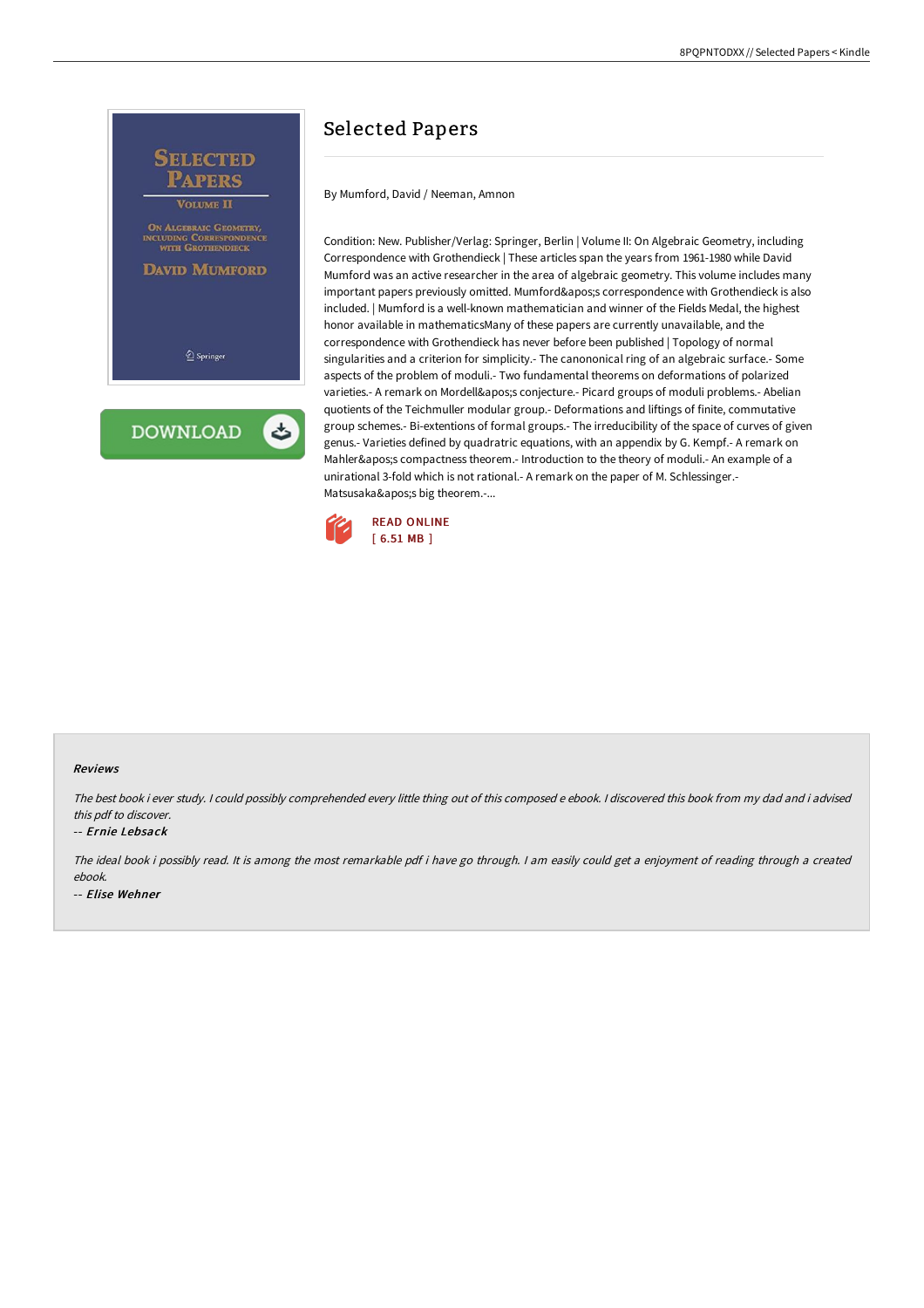

# Selected Papers

By Mumford, David / Neeman, Amnon

Condition: New. Publisher/Verlag: Springer, Berlin | Volume II: On Algebraic Geometry, including Correspondence with Grothendieck | These articles span the years from 1961-1980 while David Mumford was an active researcher in the area of algebraic geometry. This volume includes many important papers previously omitted. Mumford's correspondence with Grothendieck is also included. | Mumford is a well-known mathematician and winner of the Fields Medal, the highest honor available in mathematicsMany of these papers are currently unavailable, and the correspondence with Grothendieck has never before been published | Topology of normal singularities and a criterion for simplicity.- The canononical ring of an algebraic surface.- Some aspects of the problem of moduli.- Two fundamental theorems on deformations of polarized varieties.- A remark on Mordell's conjecture.- Picard groups of moduli problems.- Abelian quotients of the Teichmuller modular group.- Deformations and liftings of finite, commutative group schemes.- Bi-extentions of formal groups.- The irreducibility of the space of curves of given genus.- Varieties defined by quadratric equations, with an appendix by G. Kempf.- A remark on Mahler's compactness theorem.- Introduction to the theory of moduli.- An example of a unirational 3-fold which is not rational.- A remark on the paper of M. Schlessinger.- Matsusaka's big theorem.-...



#### Reviews

The best book i ever study. <sup>I</sup> could possibly comprehended every little thing out of this composed <sup>e</sup> ebook. <sup>I</sup> discovered this book from my dad and i advised this pdf to discover.

#### -- Ernie Lebsack

The ideal book i possibly read. It is among the most remarkable pdf i have go through. <sup>I</sup> am easily could get <sup>a</sup> enjoyment of reading through <sup>a</sup> created ebook. -- Elise Wehner